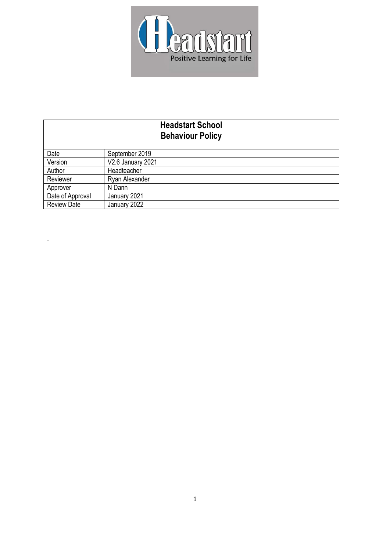

| <b>Headstart School</b><br><b>Behaviour Policy</b> |                   |
|----------------------------------------------------|-------------------|
| Date                                               | September 2019    |
| Version                                            | V2.6 January 2021 |
| Author                                             | Headteacher       |
| Reviewer                                           | Ryan Alexander    |
| Approver                                           | N Dann            |
| Date of Approval                                   | January 2021      |
| <b>Review Date</b>                                 | January 2022      |

.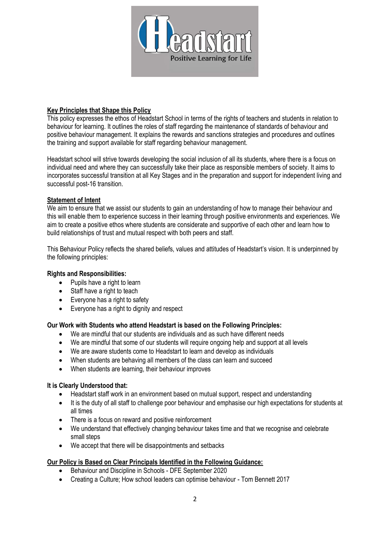

# **Key Principles that Shape this Policy**

This policy expresses the ethos of Headstart School in terms of the rights of teachers and students in relation to behaviour for learning. It outlines the roles of staff regarding the maintenance of standards of behaviour and positive behaviour management. It explains the rewards and sanctions strategies and procedures and outlines the training and support available for staff regarding behaviour management.

Headstart school will strive towards developing the social inclusion of all its students, where there is a focus on individual need and where they can successfully take their place as responsible members of society. It aims to incorporates successful transition at all Key Stages and in the preparation and support for independent living and successful post-16 transition.

# **Statement of Intent**

We aim to ensure that we assist our students to gain an understanding of how to manage their behaviour and this will enable them to experience success in their learning through positive environments and experiences. We aim to create a positive ethos where students are considerate and supportive of each other and learn how to build relationships of trust and mutual respect with both peers and staff.

This Behaviour Policy reflects the shared beliefs, values and attitudes of Headstart's vision. It is underpinned by the following principles:

## **Rights and Responsibilities:**

- Pupils have a right to learn
- Staff have a right to teach
- Everyone has a right to safety
- Everyone has a right to dignity and respect

### **Our Work with Students who attend Headstart is based on the Following Principles:**

- We are mindful that our students are individuals and as such have different needs
- We are mindful that some of our students will require ongoing help and support at all levels
- We are aware students come to Headstart to learn and develop as individuals
- When students are behaving all members of the class can learn and succeed
- When students are learning, their behaviour improves

### **It is Clearly Understood that:**

- Headstart staff work in an environment based on mutual support, respect and understanding
- It is the duty of all staff to challenge poor behaviour and emphasise our high expectations for students at all times
- There is a focus on reward and positive reinforcement
- We understand that effectively changing behaviour takes time and that we recognise and celebrate small steps
- We accept that there will be disappointments and setbacks

### **Our Policy is Based on Clear Principals Identified in the Following Guidance:**

- Behaviour and Discipline in Schools DFE September 2020
- Creating a Culture; How school leaders can optimise behaviour Tom Bennett 2017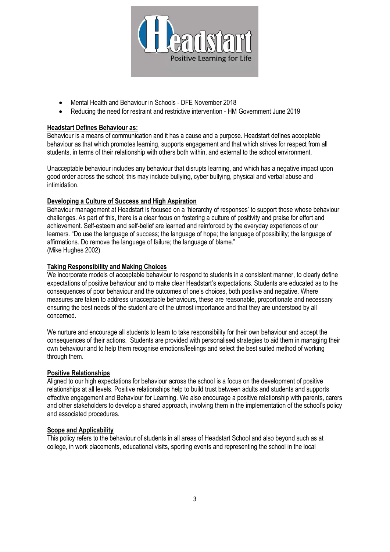

- Mental Health and Behaviour in Schools DFE November 2018
- Reducing the need for restraint and restrictive intervention HM Government June 2019

# **Headstart Defines Behaviour as:**

Behaviour is a means of communication and it has a cause and a purpose. Headstart defines acceptable behaviour as that which promotes learning, supports engagement and that which strives for respect from all students, in terms of their relationship with others both within, and external to the school environment.

Unacceptable behaviour includes any behaviour that disrupts learning, and which has a negative impact upon good order across the school; this may include bullying, cyber bullying, physical and verbal abuse and intimidation.

# **Developing a Culture of Success and High Aspiration**

Behaviour management at Headstart is focused on a 'hierarchy of responses' to support those whose behaviour challenges. As part of this, there is a clear focus on fostering a culture of positivity and praise for effort and achievement. Self-esteem and self-belief are learned and reinforced by the everyday experiences of our learners. "Do use the language of success; the language of hope; the language of possibility; the language of affirmations. Do remove the language of failure; the language of blame." (Mike Hughes 2002)

# **Taking Responsibility and Making Choices**

We incorporate models of acceptable behaviour to respond to students in a consistent manner, to clearly define expectations of positive behaviour and to make clear Headstart's expectations. Students are educated as to the consequences of poor behaviour and the outcomes of one's choices, both positive and negative. Where measures are taken to address unacceptable behaviours, these are reasonable, proportionate and necessary ensuring the best needs of the student are of the utmost importance and that they are understood by all concerned.

We nurture and encourage all students to learn to take responsibility for their own behaviour and accept the consequences of their actions. Students are provided with personalised strategies to aid them in managing their own behaviour and to help them recognise emotions/feelings and select the best suited method of working through them.

### **Positive Relationships**

Aligned to our high expectations for behaviour across the school is a focus on the development of positive relationships at all levels. Positive relationships help to build trust between adults and students and supports effective engagement and Behaviour for Learning. We also encourage a positive relationship with parents, carers and other stakeholders to develop a shared approach, involving them in the implementation of the school's policy and associated procedures.

### **Scope and Applicability**

This policy refers to the behaviour of students in all areas of Headstart School and also beyond such as at college, in work placements, educational visits, sporting events and representing the school in the local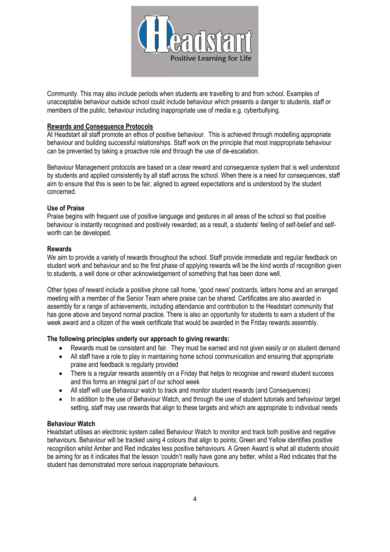

Community. This may also include periods when students are travelling to and from school. Examples of unacceptable behaviour outside school could include behaviour which presents a danger to students, staff or members of the public, behaviour including inappropriate use of media e.g. cyberbullying.

## **Rewards and Consequence Protocols**

At Headstart all staff promote an ethos of positive behaviour. This is achieved through modelling appropriate behaviour and building successful relationships. Staff work on the principle that most inappropriate behaviour can be prevented by taking a proactive role and through the use of de-escalation.

Behaviour Management protocols are based on a clear reward and consequence system that is well understood by students and applied consistently by all staff across the school. When there is a need for consequences, staff aim to ensure that this is seen to be fair, aligned to agreed expectations and is understood by the student concerned.

### **Use of Praise**

Praise begins with frequent use of positive language and gestures in all areas of the school so that positive behaviour is instantly recognised and positively rewarded; as a result, a students' feeling of self-belief and selfworth can be developed.

### **Rewards**

We aim to provide a variety of rewards throughout the school. Staff provide immediate and regular feedback on student work and behaviour and so the first phase of applying rewards will be the kind words of recognition given to students, a well done or other acknowledgement of something that has been done well.

Other types of reward include a positive phone call home, 'good news' postcards, letters home and an arranged meeting with a member of the Senior Team where praise can be shared. Certificates are also awarded in assembly for a range of achievements, including attendance and contribution to the Headstart community that has gone above and beyond normal practice. There is also an opportunity for students to earn a student of the week award and a citizen of the week certificate that would be awarded in the Friday rewards assembly.

### **The following principles underly our approach to giving rewards:**

- Rewards must be consistent and fair. They must be earned and not given easily or on student demand
- All staff have a role to play in maintaining home school communication and ensuring that appropriate praise and feedback is regularly provided
- There is a regular rewards assembly on a Friday that helps to recognise and reward student success and this forms an integral part of our school week
- All staff will use Behaviour watch to track and monitor student rewards (and Consequences)
- In addition to the use of Behaviour Watch, and through the use of student tutorials and behaviour target setting, staff may use rewards that align to these targets and which are appropriate to individual needs

### **Behaviour Watch**

Headstart utilises an electronic system called Behaviour Watch to monitor and track both positive and negative behaviours. Behaviour will be tracked using 4 colours that align to points; Green and Yellow identifies positive recognition whilst Amber and Red indicates less positive behaviours. A Green Award is what all students should be aiming for as it indicates that the lesson 'couldn't really have gone any better, whilst a Red indicates that the student has demonstrated more serious inappropriate behaviours.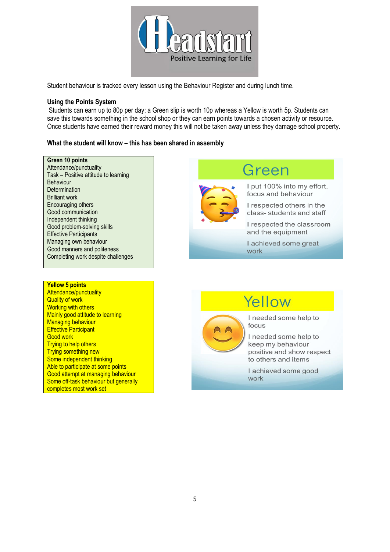

Student behaviour is tracked every lesson using the Behaviour Register and during lunch time.

### **Using the Points System**

Students can earn up to 80p per day; a Green slip is worth 10p whereas a Yellow is worth 5p. Students can save this towards something in the school shop or they can earn points towards a chosen activity or resource. Once students have earned their reward money this will not be taken away unless they damage school property.

### **What the student will know – this has been shared in assembly**

### **Green 10 points**

Attendance/punctuality Task – Positive attitude to learning Behaviour **Determination** Brilliant work Encouraging others Good communication Independent thinking Good problem-solving skills Effective Participants Managing own behaviour Good manners and politeness Completing work despite challenges

### **Yellow 5 points**

Attendance/punctuality Quality of work Working with others Mainly good attitude to learning Managing behaviour **Effective Participant** Good work Trying to help others Trying something new Some independent thinking Able to participate at some points Good attempt at managing behaviour Some off-task behaviour but generally completes most work set

Green

I put 100% into my effort, focus and behaviour

I respected others in the class-students and staff

I respected the classroom and the equipment

I achieved some great work

# Yellow



I needed some help to focus

I needed some help to keep my behaviour positive and show respect to others and items

I achieved some good work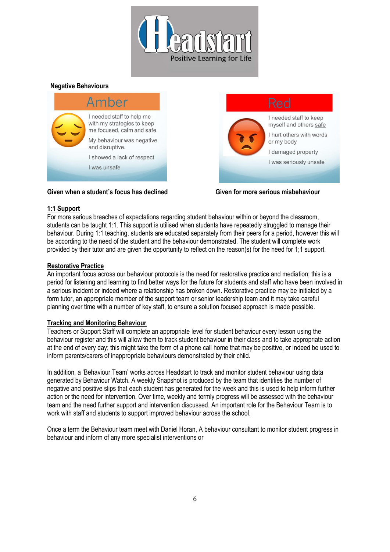

# **Negative Behaviours**



# **Given when a student's focus has declined Given for more serious misbehaviour**

### **1:1 Support**

For more serious breaches of expectations regarding student behaviour within or beyond the classroom, students can be taught 1:1. This support is utilised when students have repeatedly struggled to manage their behaviour. During 1:1 teaching, students are educated separately from their peers for a period, however this will be according to the need of the student and the behaviour demonstrated. The student will complete work provided by their tutor and are given the opportunity to reflect on the reason(s) for the need for 1;1 support.

### **Restorative Practice**

An important focus across our behaviour protocols is the need for restorative practice and mediation; this is a period for listening and learning to find better ways for the future for students and staff who have been involved in a serious incident or indeed where a relationship has broken down. Restorative practice may be initiated by a form tutor, an appropriate member of the support team or senior leadership team and it may take careful planning over time with a number of key staff, to ensure a solution focused approach is made possible.

### **Tracking and Monitoring Behaviour**

Teachers or Support Staff will complete an appropriate level for student behaviour every lesson using the behaviour register and this will allow them to track student behaviour in their class and to take appropriate action at the end of every day; this might take the form of a phone call home that may be positive, or indeed be used to inform parents/carers of inappropriate behaviours demonstrated by their child.

In addition, a 'Behaviour Team' works across Headstart to track and monitor student behaviour using data generated by Behaviour Watch. A weekly Snapshot is produced by the team that identifies the number of negative and positive slips that each student has generated for the week and this is used to help inform further action or the need for intervention. Over time, weekly and termly progress will be assessed with the behaviour team and the need further support and intervention discussed. An important role for the Behaviour Team is to work with staff and students to support improved behaviour across the school.

Once a term the Behaviour team meet with Daniel Horan, A behaviour consultant to monitor student progress in behaviour and inform of any more specialist interventions or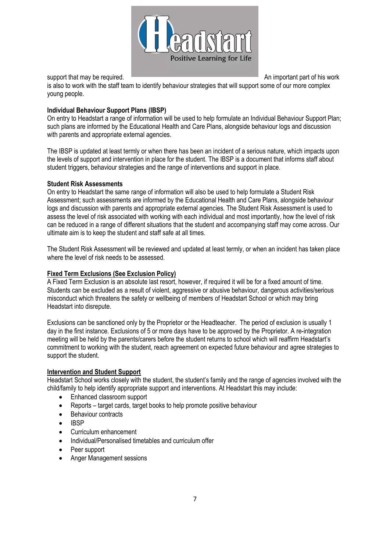

support that may be required. An important part of his work

is also to work with the staff team to identify behaviour strategies that will support some of our more complex young people.

# **Individual Behaviour Support Plans (IBSP)**

On entry to Headstart a range of information will be used to help formulate an Individual Behaviour Support Plan; such plans are informed by the Educational Health and Care Plans, alongside behaviour logs and discussion with parents and appropriate external agencies.

The IBSP is updated at least termly or when there has been an incident of a serious nature, which impacts upon the levels of support and intervention in place for the student. The IBSP is a document that informs staff about student triggers, behaviour strategies and the range of interventions and support in place.

# **Student Risk Assessments**

On entry to Headstart the same range of information will also be used to help formulate a Student Risk Assessment; such assessments are informed by the Educational Health and Care Plans, alongside behaviour logs and discussion with parents and appropriate external agencies. The Student Risk Assessment is used to assess the level of risk associated with working with each individual and most importantly, how the level of risk can be reduced in a range of different situations that the student and accompanying staff may come across. Our ultimate aim is to keep the student and staff safe at all times.

The Student Risk Assessment will be reviewed and updated at least termly, or when an incident has taken place where the level of risk needs to be assessed.

# **Fixed Term Exclusions (See Exclusion Policy)**

A Fixed Term Exclusion is an absolute last resort, however, if required it will be for a fixed amount of time. Students can be excluded as a result of violent, aggressive or abusive behaviour, dangerous activities/serious misconduct which threatens the safety or wellbeing of members of Headstart School or which may bring Headstart into disrepute.

Exclusions can be sanctioned only by the Proprietor or the Headteacher. The period of exclusion is usually 1 day in the first instance. Exclusions of 5 or more days have to be approved by the Proprietor. A re-integration meeting will be held by the parents/carers before the student returns to school which will reaffirm Headstart's commitment to working with the student, reach agreement on expected future behaviour and agree strategies to support the student.

### **Intervention and Student Support**

Headstart School works closely with the student, the student's family and the range of agencies involved with the child/family to help identify appropriate support and interventions. At Headstart this may include:

- Enhanced classroom support
- Reports target cards, target books to help promote positive behaviour
- Behaviour contracts
- IBSP
- Curriculum enhancement
- Individual/Personalised timetables and curriculum offer
- Peer support
- Anger Management sessions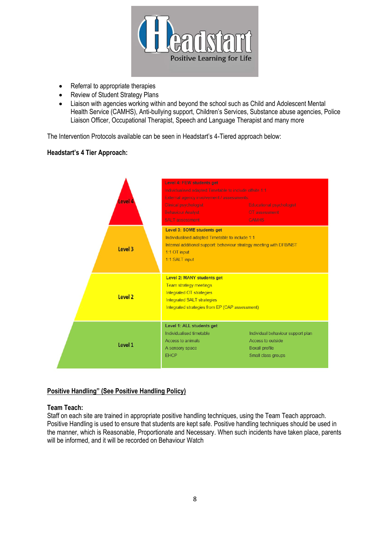

- Referral to appropriate therapies
- Review of Student Strategy Plans
- Liaison with agencies working within and beyond the school such as Child and Adolescent Mental Health Service (CAMHS), Anti-bullying support, Children's Services, Substance abuse agencies, Police Liaison Officer, Occupational Therapist, Speech and Language Therapist and many more

The Intervention Protocols available can be seen in Headstart's 4-Tiered approach below:

# **Headstart's 4 Tier Approach:**



# **Positive Handling" (See Positive Handling Policy)**

# **Team Teach:**

Staff on each site are trained in appropriate positive handling techniques, using the Team Teach approach. Positive Handling is used to ensure that students are kept safe. Positive handling techniques should be used in the manner, which is Reasonable, Proportionate and Necessary. When such incidents have taken place, parents will be informed, and it will be recorded on Behaviour Watch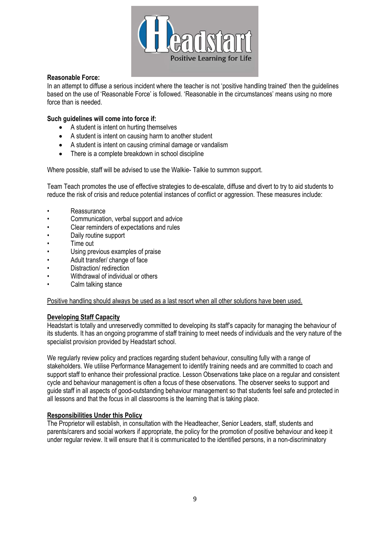

# **Reasonable Force:**

In an attempt to diffuse a serious incident where the teacher is not 'positive handling trained' then the guidelines based on the use of 'Reasonable Force' is followed. 'Reasonable in the circumstances' means using no more force than is needed.

## **Such guidelines will come into force if:**

- A student is intent on hurting themselves
- A student is intent on causing harm to another student
- A student is intent on causing criminal damage or vandalism
- There is a complete breakdown in school discipline

Where possible, staff will be advised to use the Walkie- Talkie to summon support.

Team Teach promotes the use of effective strategies to de-escalate, diffuse and divert to try to aid students to reduce the risk of crisis and reduce potential instances of conflict or aggression. These measures include:

- Reassurance
- Communication, verbal support and advice
- Clear reminders of expectations and rules
- Daily routine support
- Time out
- Using previous examples of praise
- Adult transfer/ change of face
- Distraction/ redirection
- Withdrawal of individual or others
- Calm talking stance

Positive handling should always be used as a last resort when all other solutions have been used.

### **Developing Staff Capacity**

Headstart is totally and unreservedly committed to developing its staff's capacity for managing the behaviour of its students. It has an ongoing programme of staff training to meet needs of individuals and the very nature of the specialist provision provided by Headstart school.

We regularly review policy and practices regarding student behaviour, consulting fully with a range of stakeholders. We utilise Performance Management to identify training needs and are committed to coach and support staff to enhance their professional practice. Lesson Observations take place on a regular and consistent cycle and behaviour management is often a focus of these observations. The observer seeks to support and guide staff in all aspects of good-outstanding behaviour management so that students feel safe and protected in all lessons and that the focus in all classrooms is the learning that is taking place.

### **Responsibilities Under this Policy**

The Proprietor will establish, in consultation with the Headteacher, Senior Leaders, staff, students and parents/carers and social workers if appropriate, the policy for the promotion of positive behaviour and keep it under regular review. It will ensure that it is communicated to the identified persons, in a non-discriminatory